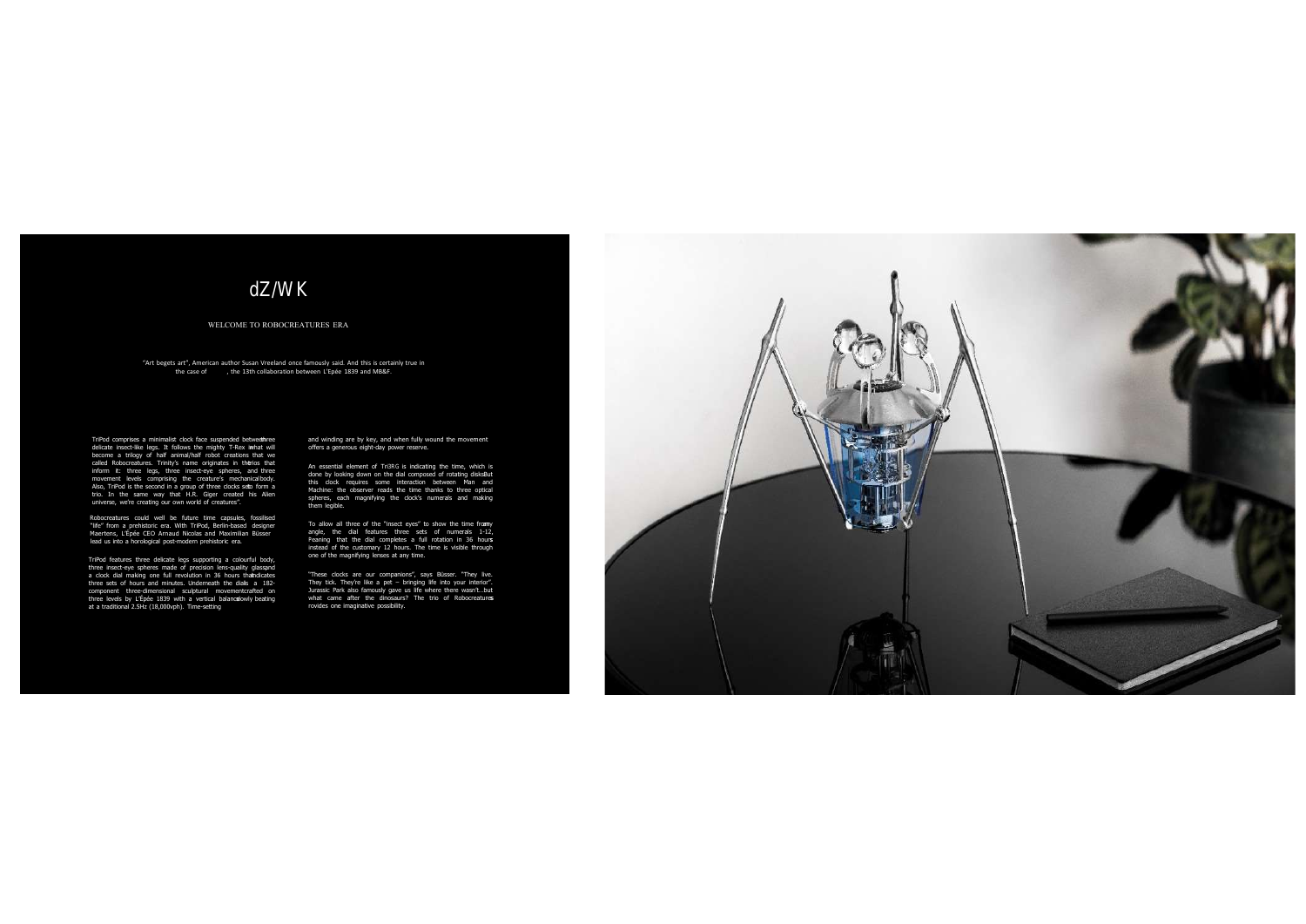## WELCOME TO ROBOCREATURES ERA

"Art begets art", American author Susan Vreeland once famously said. And this is certainly true in the case of Tri od the 13th collaboration between L'Epée 1839 and MB&F.

TriPod comprises a minimalist clock face suspended between the delicate insect-like legs. It follows the mighty T-Rex in hat will become a trilogy of half animal/half robot creations that we called Robocreatures. Trinity's name originates in the ios that inform it: three legs, three insect-eye spheres, and three movement levels comprising the creature's mechanicalbody.<br>Also, TriPod is the second in a group of three clocks seto form a trio. In the same way that H.R. Giger created his Alien universe, we're creating our own world of creatures".

Robocreatures could well be future time capsules, fossilised "life" from a prehistoric era. With TriPod, Berlin-based designer Maertens, L'Épée CEO Arnaud Nicolas and Maximilian Büsser lead us into a horological post-modern prehistoric era.

TriPod features three delicate legs supporting a colourful body, three insect-eye spheres made of precision lens-quality glassand a clock dial making one full revolution in 36 hours that dicates three sets of hours and minutes. Underneath the dials a 182component three-dimensional sculptural movementcrafted on three levels by L'Épée 1839 with a vertical balance lowly beating at a traditional 2.5Hz (18,000vph). Time-setting

and winding are by key, and when fully wound the movement offers a generous eight-day power reserve.

An essential element of TriPod is indicating the time, which is done by looking down on the dial composed of rotating disksBut this clock requires some interaction between Man and Machine: the observer reads the time thanks to three optical spheres, each magnifying the clock's numerals and making them legible.

To allow all three of the "insect eyes" to show the time from y angle, the dial features three sets of numerals 1-12, meaning that the dial completes a full rotation in 36 hours instead of the customary 12 hours. The time is visible through one of the magnifying lenses at any time.

"These clocks are our companions", says Büsser. "They live. They tick. They're like a pet – bringing life into your interior". Jurassic Park also famously gave us life where there wasn't…but what came after the dinosaurs? The trio of Robocreatures rovides one imaginative possibility.